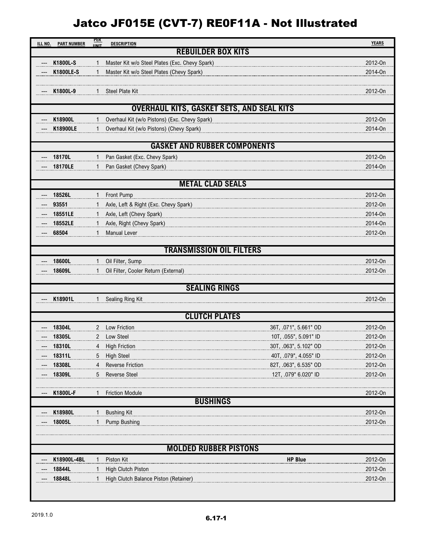## Jatco JF015E (CVT-7) RE0F11A - Not Illustrated

| ILL NO. | <b>PART NUMBER</b>                               | <b>PER</b><br><b>IINIT</b> | <b>DESCRIPTION</b>                                                                             | <b>YEARS</b>       |  |  |  |  |  |  |
|---------|--------------------------------------------------|----------------------------|------------------------------------------------------------------------------------------------|--------------------|--|--|--|--|--|--|
|         |                                                  |                            | <b>REBUILDER BOX KITS</b>                                                                      |                    |  |  |  |  |  |  |
|         | K1800L-S                                         |                            | Master Kit w/o Steel Plates (Exc. Chevy Spark)                                                 | 2012-On            |  |  |  |  |  |  |
|         | K1800LE-S                                        | $\mathbf{1}$               | Master Kit w/o Steel Plates (Chevy Spark)                                                      | 2014-On            |  |  |  |  |  |  |
|         |                                                  |                            |                                                                                                |                    |  |  |  |  |  |  |
|         | K1800L-9                                         |                            | Steel Plate Kit                                                                                | 2012-On            |  |  |  |  |  |  |
|         |                                                  |                            |                                                                                                |                    |  |  |  |  |  |  |
|         | <b>OVERHAUL KITS, GASKET SETS, AND SEAL KITS</b> |                            |                                                                                                |                    |  |  |  |  |  |  |
|         | K18900L                                          |                            | Overhaul Kit (w/o Pistons) (Exc. Chevy Spark)                                                  | 2012-On            |  |  |  |  |  |  |
|         | K18900LE                                         |                            | Overhaul Kit (w/o Pistons) (Chevy Spark)                                                       | 2014-On            |  |  |  |  |  |  |
|         | <b>GASKET AND RUBBER COMPONENTS</b>              |                            |                                                                                                |                    |  |  |  |  |  |  |
|         | 18170L                                           |                            | Pan Gasket (Exc. Chevy Spark)                                                                  | 2012-On            |  |  |  |  |  |  |
|         | 18170LE                                          |                            | Pan Gasket (Chevy Spark)                                                                       | 2014-On            |  |  |  |  |  |  |
|         |                                                  |                            |                                                                                                |                    |  |  |  |  |  |  |
|         |                                                  |                            | <b>METAL CLAD SEALS</b>                                                                        |                    |  |  |  |  |  |  |
|         | 18526L                                           | 1                          | Front Pump                                                                                     | 2012-On            |  |  |  |  |  |  |
|         | 93551                                            |                            | Axle, Left & Right (Exc. Chevy Spark)                                                          | 2012-On            |  |  |  |  |  |  |
|         | 18551LE                                          | $\mathbf{1}$               | Axle, Left (Chevy Spark)                                                                       | 2014-On            |  |  |  |  |  |  |
|         | 18552LE                                          | $\mathbf{1}$               | Axle, Right (Chevy Spark)                                                                      | 2014-On            |  |  |  |  |  |  |
|         | 68504                                            | 1                          | <b>Manual Lever</b>                                                                            | 2012-On            |  |  |  |  |  |  |
|         |                                                  |                            | <b>TRANSMISSION OIL FILTERS</b>                                                                |                    |  |  |  |  |  |  |
|         | 18600L                                           | $\mathbf{1}$               | Oil Filter, Sump                                                                               | 2012-On            |  |  |  |  |  |  |
|         | 18609L                                           |                            | Oil Filter, Cooler Return (External)                                                           | 2012-On            |  |  |  |  |  |  |
|         |                                                  |                            |                                                                                                |                    |  |  |  |  |  |  |
|         | <b>SEALING RINGS</b>                             |                            |                                                                                                |                    |  |  |  |  |  |  |
|         | K18901L                                          | 1                          | Sealing Ring Kit                                                                               | 2012-On            |  |  |  |  |  |  |
|         |                                                  |                            |                                                                                                |                    |  |  |  |  |  |  |
|         |                                                  |                            | <b>CLUTCH PLATES</b>                                                                           |                    |  |  |  |  |  |  |
|         | 18304L                                           | 2                          | <b>Low Friction</b><br>36T, .071", 5.661" OD                                                   | 2012-On            |  |  |  |  |  |  |
|         | 18305L                                           | 2                          | 10T, .055", 5.091" ID<br>Low Steel                                                             | 2012-On            |  |  |  |  |  |  |
|         | 18310L                                           | 4                          | 30T, .063", 5.102" OD<br><b>High Friction</b>                                                  | 2012-On            |  |  |  |  |  |  |
|         | 18311L<br>18308L                                 | 5<br>4                     | <b>High Steel</b><br>40T, .079", 4.055" ID<br>82T, .063", 6.535" OD<br><b>Reverse Friction</b> | 2012-On<br>2012-On |  |  |  |  |  |  |
|         | 18309L                                           | 5                          | <b>Reverse Steel</b><br>12T, .079" 6.020" ID                                                   | 2012-On            |  |  |  |  |  |  |
|         |                                                  |                            |                                                                                                |                    |  |  |  |  |  |  |
|         | K1800L-F                                         |                            | <b>Friction Module</b>                                                                         | 2012-On            |  |  |  |  |  |  |
|         |                                                  |                            | <b>BUSHINGS</b>                                                                                |                    |  |  |  |  |  |  |
|         | K18980L                                          |                            | <b>Bushing Kit</b>                                                                             | 2012-On            |  |  |  |  |  |  |
|         | 18005L                                           |                            | <b>Pump Bushing</b>                                                                            | 2012-On            |  |  |  |  |  |  |
|         |                                                  |                            |                                                                                                |                    |  |  |  |  |  |  |
|         |                                                  |                            | <b>MOLDED RUBBER PISTONS</b>                                                                   |                    |  |  |  |  |  |  |
|         | K18900L-4BL                                      | 1                          | Piston Kit<br><b>HP Blue</b>                                                                   | 2012-On            |  |  |  |  |  |  |
|         | 18844L                                           | $\mathbf{1}$               | <b>High Clutch Piston</b>                                                                      | 2012-On            |  |  |  |  |  |  |
|         | 18848L                                           |                            | High Clutch Balance Piston (Retainer)                                                          | 2012-0n            |  |  |  |  |  |  |
|         |                                                  |                            |                                                                                                |                    |  |  |  |  |  |  |
|         |                                                  |                            |                                                                                                |                    |  |  |  |  |  |  |